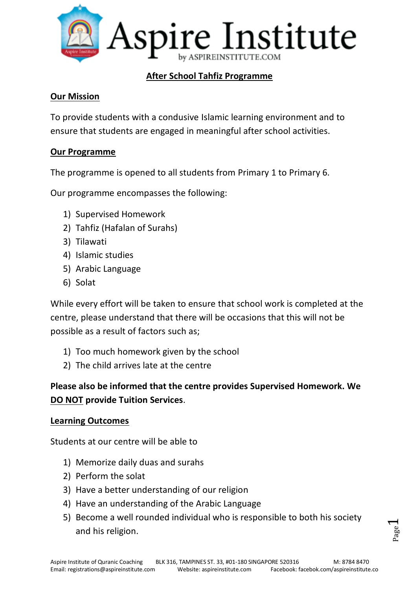

# **After School Tahfiz Programme**

#### **Our Mission**

To provide students with a condusive Islamic learning environment and to ensure that students are engaged in meaningful after school activities.

### **Our Programme**

The programme is opened to all students from Primary 1 to Primary 6.

Our programme encompasses the following:

- 1) Supervised Homework
- 2) Tahfiz (Hafalan of Surahs)
- 3) Tilawati
- 4) Islamic studies
- 5) Arabic Language
- 6) Solat

While every effort will be taken to ensure that school work is completed at the centre, please understand that there will be occasions that this will not be possible as a result of factors such as;

- 1) Too much homework given by the school
- 2) The child arrives late at the centre

# **Please also be informed that the centre provides Supervised Homework. We DO NOT provide Tuition Services**.

#### **Learning Outcomes**

Students at our centre will be able to

- 1) Memorize daily duas and surahs
- 2) Perform the solat
- 3) Have a better understanding of our religion
- 4) Have an understanding of the Arabic Language
- 5) Become a well rounded individual who is responsible to both his society and his religion.

Page  $\overline{\phantom{0}}$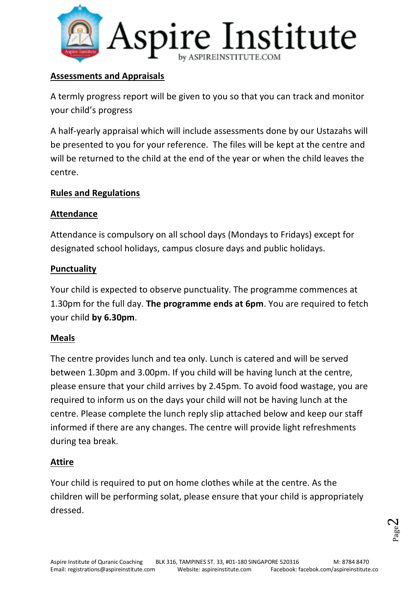

### **Assessments and Appraisals**

A termly progress report will be given to you so that you can track and monitor your child's progress

A half-yearly appraisal which will include assessments done by our Ustazahs will be presented to you for your reference. The files will be kept at the centre and will be returned to the child at the end of the year or when the child leaves the centre.

# **Rules and Regulations**

### **Attendance**

Attendance is compulsory on all school days (Mondays to Fridays) except for designated school holidays, campus closure days and public holidays.

# **Punctuality**

Your child is expected to observe punctuality. The programme commences at 1.30pm for the full day. **The programme ends at 6pm**. You are required to fetch your child **by 6.30pm**.

# **Meals**

The centre provides lunch and tea only. Lunch is catered and will be served between 1.30pm and 3.00pm. If you child will be having lunch at the centre, please ensure that your child arrives by 2.45pm. To avoid food wastage, you are required to inform us on the days your child will not be having lunch at the centre. Please complete the lunch reply slip attached below and keep our staff informed if there are any changes. The centre will provide light refreshments during tea break.

# **Attire**

Your child is required to put on home clothes while at the centre. As the children will be performing solat, please ensure that your child is appropriately dressed.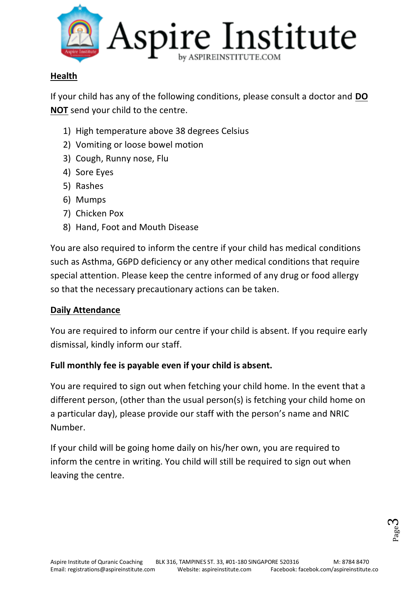

# **Health**

If your child has any of the following conditions, please consult a doctor and **DO NOT** send your child to the centre.

- 1) High temperature above 38 degrees Celsius
- 2) Vomiting or loose bowel motion
- 3) Cough, Runny nose, Flu
- 4) Sore Eyes
- 5) Rashes
- 6) Mumps
- 7) Chicken Pox
- 8) Hand, Foot and Mouth Disease

You are also required to inform the centre if your child has medical conditions such as Asthma, G6PD deficiency or any other medical conditions that require special attention. Please keep the centre informed of any drug or food allergy so that the necessary precautionary actions can be taken.

# **Daily Attendance**

You are required to inform our centre if your child is absent. If you require early dismissal, kindly inform our staff.

# **Full monthly fee is payable even if your child is absent.**

You are required to sign out when fetching your child home. In the event that a different person, (other than the usual person(s) is fetching your child home on a particular day), please provide our staff with the person's name and NRIC Number.

If your child will be going home daily on his/her own, you are required to inform the centre in writing. You child will still be required to sign out when leaving the centre.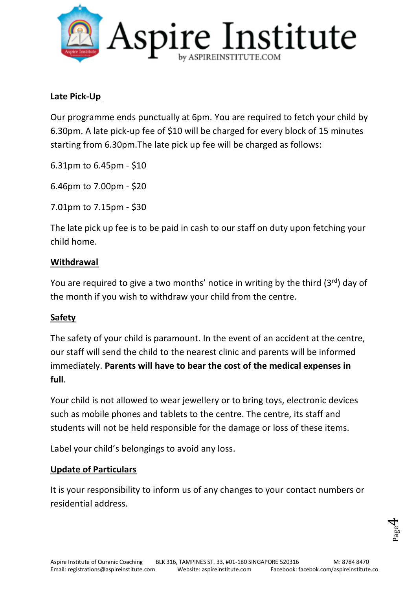

### **Late Pick-Up**

Our programme ends punctually at 6pm. You are required to fetch your child by 6.30pm. A late pick-up fee of \$10 will be charged for every block of 15 minutes starting from 6.30pm.The late pick up fee will be charged as follows:

6.31pm to 6.45pm - \$10

6.46pm to 7.00pm - \$20

7.01pm to 7.15pm - \$30

The late pick up fee is to be paid in cash to our staff on duty upon fetching your child home.

#### **Withdrawal**

You are required to give a two months' notice in writing by the third  $(3^{rd})$  day of the month if you wish to withdraw your child from the centre.

#### **Safety**

The safety of your child is paramount. In the event of an accident at the centre, our staff will send the child to the nearest clinic and parents will be informed immediately. **Parents will have to bear the cost of the medical expenses in full**.

Your child is not allowed to wear jewellery or to bring toys, electronic devices such as mobile phones and tablets to the centre. The centre, its staff and students will not be held responsible for the damage or loss of these items.

Label your child's belongings to avoid any loss.

#### **Update of Particulars**

It is your responsibility to inform us of any changes to your contact numbers or residential address.

$$
_{\rm Page}4
$$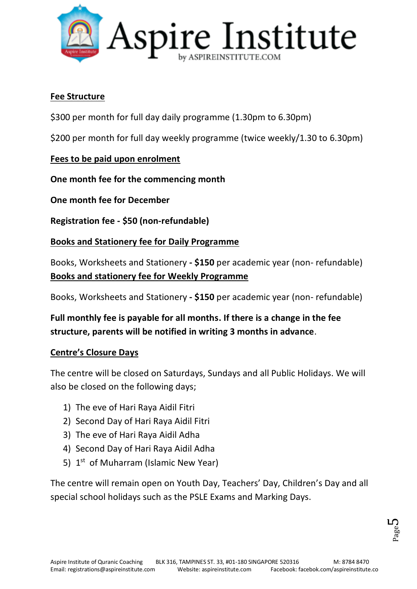

### **Fee Structure**

\$300 per month for full day daily programme (1.30pm to 6.30pm)

\$200 per month for full day weekly programme (twice weekly/1.30 to 6.30pm)

# **Fees to be paid upon enrolment**

**One month fee for the commencing month**

**One month fee for December**

**Registration fee - \$50 (non-refundable)**

# **Books and Stationery fee for Daily Programme**

Books, Worksheets and Stationery **- \$150** per academic year (non- refundable) **Books and stationery fee for Weekly Programme**

Books, Worksheets and Stationery **- \$150** per academic year (non- refundable)

**Full monthly fee is payable for all months. If there is a change in the fee structure, parents will be notified in writing 3 months in advance**.

# **Centre's Closure Days**

The centre will be closed on Saturdays, Sundays and all Public Holidays. We will also be closed on the following days;

- 1) The eve of Hari Raya Aidil Fitri
- 2) Second Day of Hari Raya Aidil Fitri
- 3) The eve of Hari Raya Aidil Adha
- 4) Second Day of Hari Raya Aidil Adha
- 5) 1<sup>st</sup> of Muharram (Islamic New Year)

The centre will remain open on Youth Day, Teachers' Day, Children's Day and all special school holidays such as the PSLE Exams and Marking Days.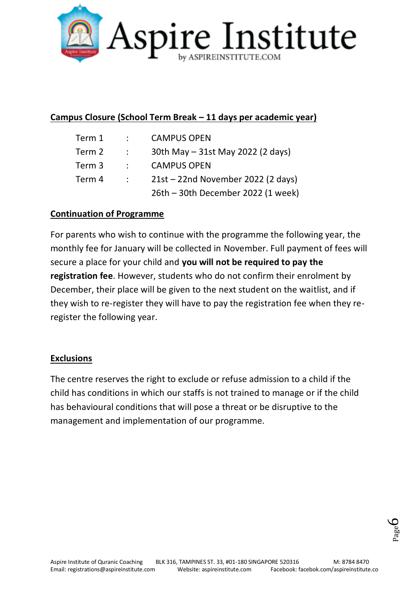

### **Campus Closure (School Term Break – 11 days per academic year)**

| Term 1 | $\mathcal{L}$     | <b>CAMPUS OPEN</b>                 |
|--------|-------------------|------------------------------------|
| Term 2 | $\sim$ 100 $\sim$ | 30th May - 31st May 2022 (2 days)  |
| Term 3 | $\sim$ 100 $\sim$ | <b>CAMPUS OPEN</b>                 |
| Term 4 | $\mathcal{L}$     | 21st - 22nd November 2022 (2 days) |
|        |                   | 26th - 30th December 2022 (1 week) |

#### **Continuation of Programme**

For parents who wish to continue with the programme the following year, the monthly fee for January will be collected in November. Full payment of fees will secure a place for your child and **you will not be required to pay the registration fee**. However, students who do not confirm their enrolment by December, their place will be given to the next student on the waitlist, and if they wish to re-register they will have to pay the registration fee when they reregister the following year.

#### **Exclusions**

The centre reserves the right to exclude or refuse admission to a child if the child has conditions in which our staffs is not trained to manage or if the child has behavioural conditions that will pose a threat or be disruptive to the management and implementation of our programme.

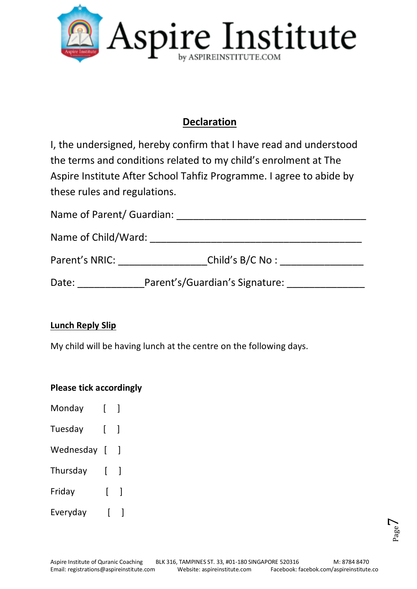

# **Declaration**

I, the undersigned, hereby confirm that I have read and understood the terms and conditions related to my child's enrolment at The Aspire Institute After School Tahfiz Programme. I agree to abide by these rules and regulations.

| Name of Parent/ Guardian: |                                |  |
|---------------------------|--------------------------------|--|
| Name of Child/Ward:       |                                |  |
| Parent's NRIC:            | Child's B/C No:                |  |
| Date:                     | Parent's/Guardian's Signature: |  |

# **Lunch Reply Slip**

My child will be having lunch at the centre on the following days.

# **Please tick accordingly**

| Monday    | ſ              |                          |
|-----------|----------------|--------------------------|
| Tuesday   | L              | $\overline{\phantom{a}}$ |
| Wednesday | $\overline{1}$ | $\overline{\phantom{a}}$ |
| Thursday  | ſ              | 1                        |
| Friday    | ſ              | 1                        |
| Everyday  |                |                          |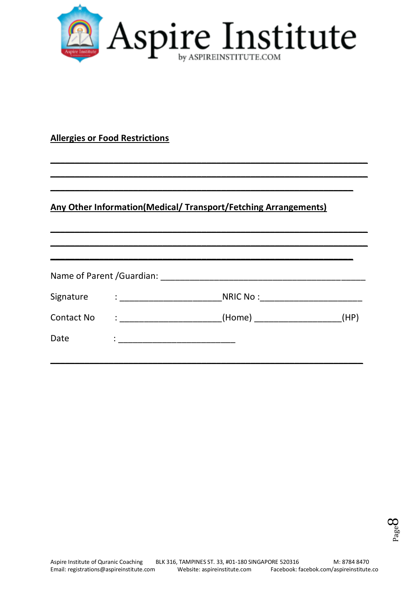

**\_\_\_\_\_\_\_\_\_\_\_\_\_\_\_\_\_\_\_\_\_\_\_\_\_\_\_\_\_\_\_\_\_\_\_\_\_\_\_\_\_\_\_\_\_\_\_\_\_\_\_\_\_\_\_\_\_\_\_\_\_\_\_\_\_ \_\_\_\_\_\_\_\_\_\_\_\_\_\_\_\_\_\_\_\_\_\_\_\_\_\_\_\_\_\_\_\_\_\_\_\_\_\_\_\_\_\_\_\_\_\_\_\_\_\_\_\_\_\_\_\_\_\_\_\_\_\_\_\_\_**

**\_\_\_\_\_\_\_\_\_\_\_\_\_\_\_\_\_\_\_\_\_\_\_\_\_\_\_\_\_\_\_\_\_\_\_\_\_\_\_\_\_\_\_\_\_\_\_\_\_\_\_\_\_\_\_\_\_\_\_\_\_\_\_\_\_ \_\_\_\_\_\_\_\_\_\_\_\_\_\_\_\_\_\_\_\_\_\_\_\_\_\_\_\_\_\_\_\_\_\_\_\_\_\_\_\_\_\_\_\_\_\_\_\_\_\_\_\_\_\_\_\_\_\_\_\_\_\_\_\_\_**

**\_\_\_\_\_\_\_\_\_\_\_\_\_\_\_\_\_\_\_\_\_\_\_\_\_\_\_\_\_\_\_\_\_\_\_\_\_\_\_\_\_\_\_\_\_\_\_\_\_\_\_\_\_\_\_\_\_\_\_\_\_\_**

### **Allergies or Food Restrictions**

# **Any Other Information(Medical/ Transport/Fetching Arrangements)**

|  | (HP)                                                                                                                                                                                                                                                                                                                                                                                                                                                                                                                                                                                                                                                                                                                                                                                                                                        |
|--|---------------------------------------------------------------------------------------------------------------------------------------------------------------------------------------------------------------------------------------------------------------------------------------------------------------------------------------------------------------------------------------------------------------------------------------------------------------------------------------------------------------------------------------------------------------------------------------------------------------------------------------------------------------------------------------------------------------------------------------------------------------------------------------------------------------------------------------------|
|  |                                                                                                                                                                                                                                                                                                                                                                                                                                                                                                                                                                                                                                                                                                                                                                                                                                             |
|  | Name of Parent /Guardian: Name of Parent /Guardian:<br>NRIC No : Note that the set of the set of the set of the set of the set of the set of the set of the set of the set of the set of the set of the set of the set of the set of the set of the set of the set of the set of the<br>$\mathrel{\mathop:}=$ $\mathrel{\mathop:}=$ $\mathrel{\mathop:}=$ $\mathrel{\mathop:}=$ $\mathrel{\mathop:}=$ $\mathrel{\mathop:}=$ $\mathrel{\mathop:}=$ $\mathrel{\mathop:}=$ $\mathrel{\mathop:}=$ $\mathrel{\mathop:}=$ $\mathrel{\mathop:}=$ $\mathrel{\mathop:}=$ $\mathrel{\mathop:}=$ $\mathrel{\mathop:}=$ $\mathrel{\mathop:}=$ $\mathrel{\mathop:}=$ $\mathrel{\mathop:}=$ $\mathrel{\mathop:}=$ $\mathrel{\mathop:}=$ $\mathrel{\mathop:}=$<br>$\mathbf{1}$ , and $\mathbf{1}$ , and $\mathbf{1}$ , and $\mathbf{1}$ , and $\mathbf{1}$ |

**\_\_\_\_\_\_\_\_\_\_\_\_\_\_\_\_\_\_\_\_\_\_\_\_\_\_\_\_\_\_\_\_\_\_\_\_\_\_\_\_\_\_\_\_\_\_\_\_\_\_\_\_\_\_\_\_\_\_\_\_\_\_\_\_**